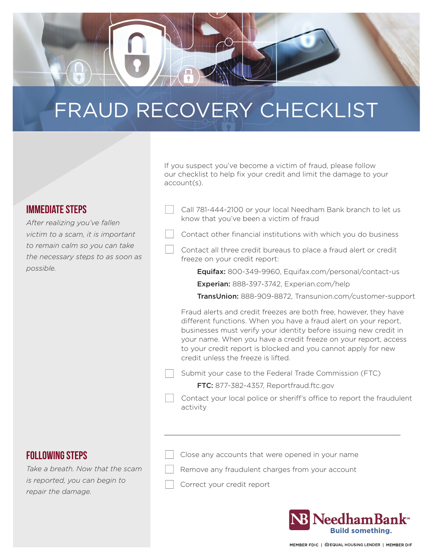

# FRAUD RECOVERY CHECKLIST

## Immediate Steps

*After realizing you've fallen victim to a scam, it is important to remain calm so you can take the necessary steps to as soon as possible.*

If you suspect you've become a victim of fraud, please follow our checklist to help fix your credit and limit the damage to your account(s).

- Call 781-444-2100 or your local Needham Bank branch to let us know that you've been a victim of fraud
- Contact other financial institutions with which you do business
- Contact all three credit bureaus to place a fraud alert or credit freeze on your credit report:

Equifax: 800-349-9960, Equifax.com/personal/contact-us

Experian: 888-397-3742, Experian.com/help

TransUnion: 888-909-8872, Transunion.com/customer-support

Fraud alerts and credit freezes are both free, however, they have different functions. When you have a fraud alert on your report, businesses must verify your identity before issuing new credit in your name. When you have a credit freeze on your report, access to your credit report is blocked and you cannot apply for new credit unless the freeze is lifted.

- Submit your case to the Federal Trade Commission (FTC)
	- FTC: 877-382-4357, Reportfraud.ftc.gov
- Contact your local police or sheriff's office to report the fraudulent activity

### **FOLLOWING STEPS**

*Take a breath. Now that the scam is reported, you can begin to repair the damage.*

- Close any accounts that were opened in your name
- Remove any fraudulent charges from your account
- Correct your credit report